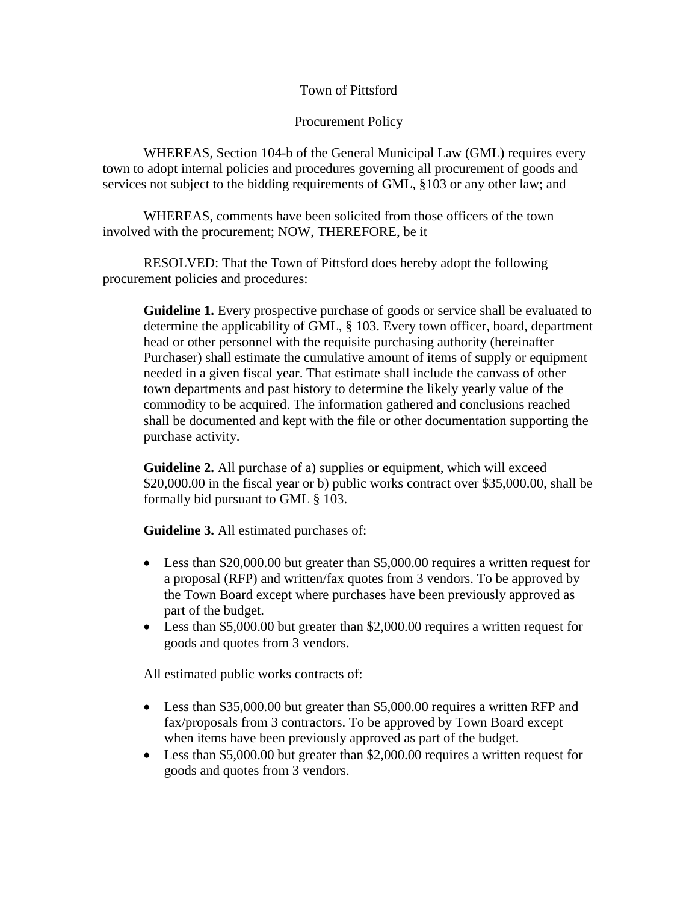## Town of Pittsford

## Procurement Policy

WHEREAS, Section 104-b of the General Municipal Law (GML) requires every town to adopt internal policies and procedures governing all procurement of goods and services not subject to the bidding requirements of GML, §103 or any other law; and

WHEREAS, comments have been solicited from those officers of the town involved with the procurement; NOW, THEREFORE, be it

RESOLVED: That the Town of Pittsford does hereby adopt the following procurement policies and procedures:

**Guideline 1.** Every prospective purchase of goods or service shall be evaluated to determine the applicability of GML, § 103. Every town officer, board, department head or other personnel with the requisite purchasing authority (hereinafter Purchaser) shall estimate the cumulative amount of items of supply or equipment needed in a given fiscal year. That estimate shall include the canvass of other town departments and past history to determine the likely yearly value of the commodity to be acquired. The information gathered and conclusions reached shall be documented and kept with the file or other documentation supporting the purchase activity.

**Guideline 2.** All purchase of a) supplies or equipment, which will exceed \$20,000.00 in the fiscal year or b) public works contract over \$35,000.00, shall be formally bid pursuant to GML § 103.

**Guideline 3.** All estimated purchases of:

- Less than \$20,000.00 but greater than \$5,000.00 requires a written request for a proposal (RFP) and written/fax quotes from 3 vendors. To be approved by the Town Board except where purchases have been previously approved as part of the budget.
- Less than \$5,000.00 but greater than \$2,000.00 requires a written request for goods and quotes from 3 vendors.

All estimated public works contracts of:

- Less than \$35,000.00 but greater than \$5,000.00 requires a written RFP and fax/proposals from 3 contractors. To be approved by Town Board except when items have been previously approved as part of the budget.
- Less than \$5,000.00 but greater than \$2,000.00 requires a written request for goods and quotes from 3 vendors.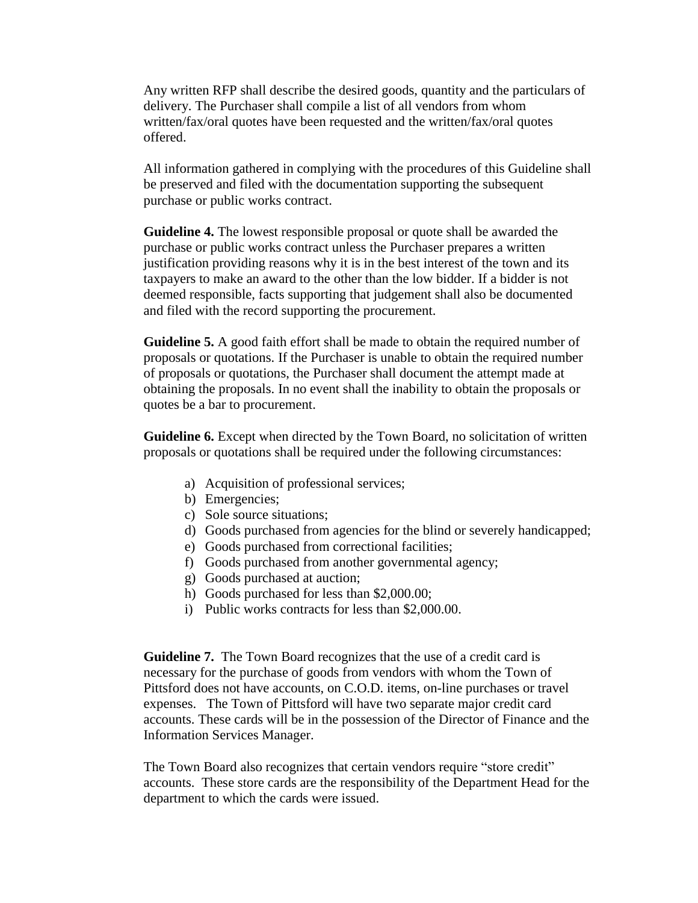Any written RFP shall describe the desired goods, quantity and the particulars of delivery. The Purchaser shall compile a list of all vendors from whom written/fax/oral quotes have been requested and the written/fax/oral quotes offered.

All information gathered in complying with the procedures of this Guideline shall be preserved and filed with the documentation supporting the subsequent purchase or public works contract.

**Guideline 4.** The lowest responsible proposal or quote shall be awarded the purchase or public works contract unless the Purchaser prepares a written justification providing reasons why it is in the best interest of the town and its taxpayers to make an award to the other than the low bidder. If a bidder is not deemed responsible, facts supporting that judgement shall also be documented and filed with the record supporting the procurement.

**Guideline 5.** A good faith effort shall be made to obtain the required number of proposals or quotations. If the Purchaser is unable to obtain the required number of proposals or quotations, the Purchaser shall document the attempt made at obtaining the proposals. In no event shall the inability to obtain the proposals or quotes be a bar to procurement.

**Guideline 6.** Except when directed by the Town Board, no solicitation of written proposals or quotations shall be required under the following circumstances:

- a) Acquisition of professional services;
- b) Emergencies;
- c) Sole source situations;
- d) Goods purchased from agencies for the blind or severely handicapped;
- e) Goods purchased from correctional facilities;
- f) Goods purchased from another governmental agency;
- g) Goods purchased at auction;
- h) Goods purchased for less than \$2,000.00;
- i) Public works contracts for less than \$2,000.00.

**Guideline 7.**The Town Board recognizes that the use of a credit card is necessary for the purchase of goods from vendors with whom the Town of Pittsford does not have accounts, on C.O.D. items, on-line purchases or travel expenses. The Town of Pittsford will have two separate major credit card accounts. These cards will be in the possession of the Director of Finance and the Information Services Manager.

The Town Board also recognizes that certain vendors require "store credit" accounts. These store cards are the responsibility of the Department Head for the department to which the cards were issued.